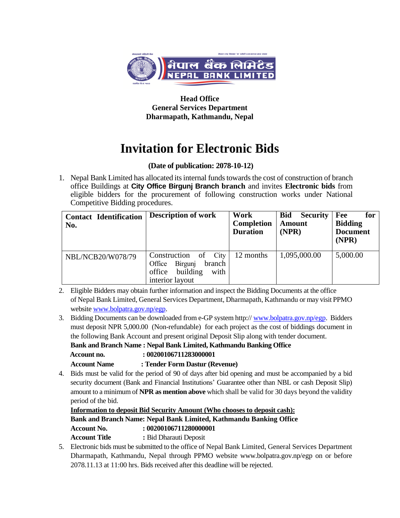

**Head Office General Services Department Dharmapath, Kathmandu, Nepal**

## **Invitation for Electronic Bids**

## **(Date of publication: 2078-10-12)**

1. Nepal Bank Limited has allocated its internal funds towards the cost of construction of branch office Buildings at **City Office Birgunj Branch branch** and invites **Electronic bids** from eligible bidders for the procurement of following construction works under National Competitive Bidding procedures.

| <b>Contact Identification</b><br>No. | <b>Description of work</b>                                                                           | Work<br><b>Completion</b><br><b>Duration</b> | <b>Bid</b><br><b>Security</b><br><b>Amount</b><br>(NPR) | Fee<br>for<br><b>Bidding</b><br><b>Document</b><br>(NPR) |
|--------------------------------------|------------------------------------------------------------------------------------------------------|----------------------------------------------|---------------------------------------------------------|----------------------------------------------------------|
| NBL/NCB20/W078/79                    | Construction of<br>City<br>branch<br>Birgunj<br>Office<br>office building<br>with<br>interior layout | 12 months                                    | 1,095,000.00                                            | 5,000.00                                                 |

2. Eligible Bidders may obtain further information and inspect the Bidding Documents at the office of Nepal Bank Limited, General Services Department, Dharmapath, Kathmandu or may visit PPMO websit[e www.bolpatra.gov.np/egp.](http://www.bolpatra.gov.np/egp)

3. Bidding Documents can be downloaded from e-GP system http:// [www.bolpatra.gov.np/egp.](http://www.bolpatra.gov.np/egp) Bidders must deposit NPR 5,000.00 (Non-refundable) for each project as the cost of biddings document in the following Bank Account and present original Deposit Slip along with tender document.

**Bank and Branch Name : Nepal Bank Limited, Kathmandu Banking Office**

 **Account no. : 00200106711283000001**

**Account Name : Tender Form Dastur (Revenue)**

4. Bids must be valid for the period of 90 of days after bid opening and must be accompanied by a bid security document (Bank and Financial Institutions' Guarantee other than NBL or cash Deposit Slip) amount to a minimum of **NPR as mention above** which shall be valid for 30 days beyond the validity period of the bid.

**Information to deposit Bid Security Amount (Who chooses to deposit cash): Bank and Branch Name: Nepal Bank Limited, Kathmandu Banking Office Account No. : 00200106711280000001 Account Title :** Bid Dharauti Deposit

5. Electronic bids must be submitted to the office of Nepal Bank Limited, General Services Department Dharmapath, Kathmandu, Nepal through PPMO website www.bolpatra.gov.np/egp on or before 2078.11.13 at 11:00 hrs. Bids received after this deadline will be rejected.